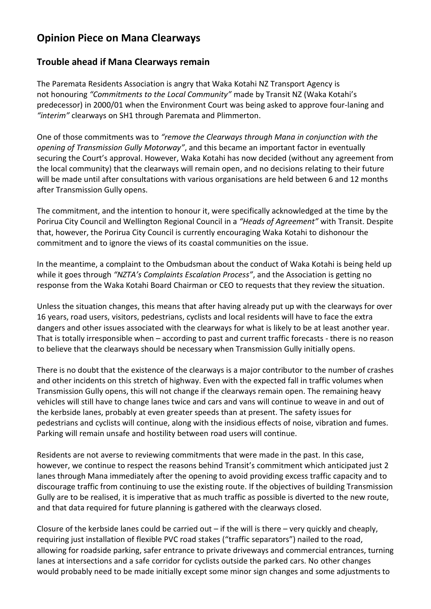## **Opinion Piece on Mana Clearways**

## **Trouble ahead if Mana Clearways remain**

The Paremata Residents Association is angry that Waka Kotahi NZ Transport Agency is not honouring *"Commitments to the Local Community"* made by Transit NZ (Waka Kotahi's predecessor) in 2000/01 when the Environment Court was being asked to approve four-laning and *"interim"* clearways on SH1 through Paremata and Plimmerton.

One of those commitments was to *"remove the Clearways through Mana in conjunction with the opening of Transmission Gully Motorway"*, and this became an important factor in eventually securing the Court's approval. However, Waka Kotahi has now decided (without any agreement from the local community) that the clearways will remain open, and no decisions relating to their future will be made until after consultations with various organisations are held between 6 and 12 months after Transmission Gully opens.

The commitment, and the intention to honour it, were specifically acknowledged at the time by the Porirua City Council and Wellington Regional Council in a *"Heads of Agreement"* with Transit. Despite that, however, the Porirua City Council is currently encouraging Waka Kotahi to dishonour the commitment and to ignore the views of its coastal communities on the issue.

In the meantime, a complaint to the Ombudsman about the conduct of Waka Kotahi is being held up while it goes through *"NZTA's Complaints Escalation Process"*, and the Association is getting no response from the Waka Kotahi Board Chairman or CEO to requests that they review the situation.

Unless the situation changes, this means that after having already put up with the clearways for over 16 years, road users, visitors, pedestrians, cyclists and local residents will have to face the extra dangers and other issues associated with the clearways for what is likely to be at least another year. That is totally irresponsible when – according to past and current traffic forecasts - there is no reason to believe that the clearways should be necessary when Transmission Gully initially opens.

There is no doubt that the existence of the clearways is a major contributor to the number of crashes and other incidents on this stretch of highway. Even with the expected fall in traffic volumes when Transmission Gully opens, this will not change if the clearways remain open. The remaining heavy vehicles will still have to change lanes twice and cars and vans will continue to weave in and out of the kerbside lanes, probably at even greater speeds than at present. The safety issues for pedestrians and cyclists will continue, along with the insidious effects of noise, vibration and fumes. Parking will remain unsafe and hostility between road users will continue.

Residents are not averse to reviewing commitments that were made in the past. In this case, however, we continue to respect the reasons behind Transit's commitment which anticipated just 2 lanes through Mana immediately after the opening to avoid providing excess traffic capacity and to discourage traffic from continuing to use the existing route. If the objectives of building Transmission Gully are to be realised, it is imperative that as much traffic as possible is diverted to the new route, and that data required for future planning is gathered with the clearways closed.

Closure of the kerbside lanes could be carried out  $-$  if the will is there  $-$  very quickly and cheaply, requiring just installation of flexible PVC road stakes ("traffic separators") nailed to the road, allowing for roadside parking, safer entrance to private driveways and commercial entrances, turning lanes at intersections and a safe corridor for cyclists outside the parked cars. No other changes would probably need to be made initially except some minor sign changes and some adjustments to